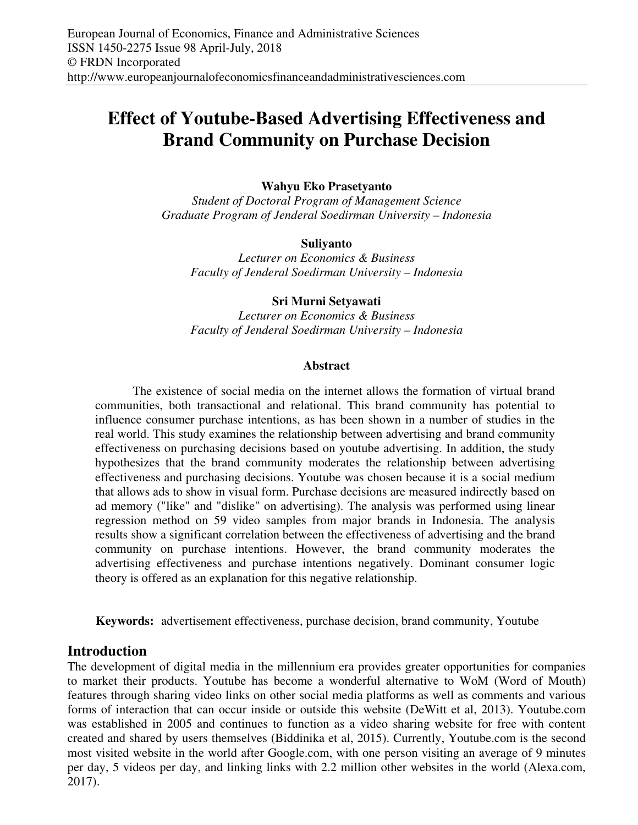# **Effect of Youtube-Based Advertising Effectiveness and Brand Community on Purchase Decision**

## **Wahyu Eko Prasetyanto**

*Student of Doctoral Program of Management Science Graduate Program of Jenderal Soedirman University – Indonesia* 

## **Suliyanto**

*Lecturer on Economics & Business Faculty of Jenderal Soedirman University – Indonesia* 

## **Sri Murni Setyawati**

*Lecturer on Economics & Business Faculty of Jenderal Soedirman University – Indonesia* 

#### **Abstract**

The existence of social media on the internet allows the formation of virtual brand communities, both transactional and relational. This brand community has potential to influence consumer purchase intentions, as has been shown in a number of studies in the real world. This study examines the relationship between advertising and brand community effectiveness on purchasing decisions based on youtube advertising. In addition, the study hypothesizes that the brand community moderates the relationship between advertising effectiveness and purchasing decisions. Youtube was chosen because it is a social medium that allows ads to show in visual form. Purchase decisions are measured indirectly based on ad memory ("like" and "dislike" on advertising). The analysis was performed using linear regression method on 59 video samples from major brands in Indonesia. The analysis results show a significant correlation between the effectiveness of advertising and the brand community on purchase intentions. However, the brand community moderates the advertising effectiveness and purchase intentions negatively. Dominant consumer logic theory is offered as an explanation for this negative relationship.

**Keywords:** advertisement effectiveness, purchase decision, brand community, Youtube

# **Introduction**

The development of digital media in the millennium era provides greater opportunities for companies to market their products. Youtube has become a wonderful alternative to WoM (Word of Mouth) features through sharing video links on other social media platforms as well as comments and various forms of interaction that can occur inside or outside this website (DeWitt et al, 2013). Youtube.com was established in 2005 and continues to function as a video sharing website for free with content created and shared by users themselves (Biddinika et al, 2015). Currently, Youtube.com is the second most visited website in the world after Google.com, with one person visiting an average of 9 minutes per day, 5 videos per day, and linking links with 2.2 million other websites in the world (Alexa.com, 2017).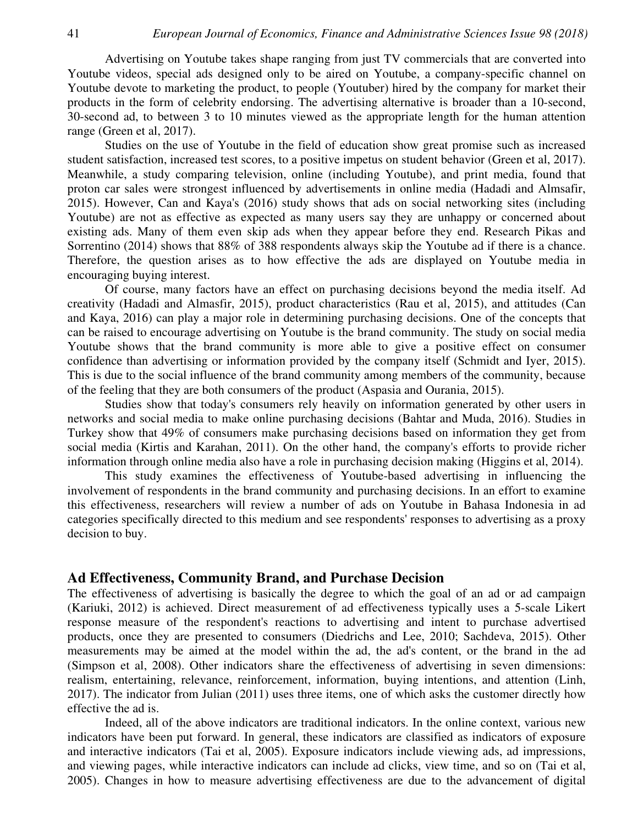Advertising on Youtube takes shape ranging from just TV commercials that are converted into Youtube videos, special ads designed only to be aired on Youtube, a company-specific channel on Youtube devote to marketing the product, to people (Youtuber) hired by the company for market their products in the form of celebrity endorsing. The advertising alternative is broader than a 10-second, 30-second ad, to between 3 to 10 minutes viewed as the appropriate length for the human attention range (Green et al, 2017).

Studies on the use of Youtube in the field of education show great promise such as increased student satisfaction, increased test scores, to a positive impetus on student behavior (Green et al, 2017). Meanwhile, a study comparing television, online (including Youtube), and print media, found that proton car sales were strongest influenced by advertisements in online media (Hadadi and Almsafir, 2015). However, Can and Kaya's (2016) study shows that ads on social networking sites (including Youtube) are not as effective as expected as many users say they are unhappy or concerned about existing ads. Many of them even skip ads when they appear before they end. Research Pikas and Sorrentino (2014) shows that 88% of 388 respondents always skip the Youtube ad if there is a chance. Therefore, the question arises as to how effective the ads are displayed on Youtube media in encouraging buying interest.

Of course, many factors have an effect on purchasing decisions beyond the media itself. Ad creativity (Hadadi and Almasfir, 2015), product characteristics (Rau et al, 2015), and attitudes (Can and Kaya, 2016) can play a major role in determining purchasing decisions. One of the concepts that can be raised to encourage advertising on Youtube is the brand community. The study on social media Youtube shows that the brand community is more able to give a positive effect on consumer confidence than advertising or information provided by the company itself (Schmidt and Iyer, 2015). This is due to the social influence of the brand community among members of the community, because of the feeling that they are both consumers of the product (Aspasia and Ourania, 2015).

Studies show that today's consumers rely heavily on information generated by other users in networks and social media to make online purchasing decisions (Bahtar and Muda, 2016). Studies in Turkey show that 49% of consumers make purchasing decisions based on information they get from social media (Kirtis and Karahan, 2011). On the other hand, the company's efforts to provide richer information through online media also have a role in purchasing decision making (Higgins et al, 2014).

This study examines the effectiveness of Youtube-based advertising in influencing the involvement of respondents in the brand community and purchasing decisions. In an effort to examine this effectiveness, researchers will review a number of ads on Youtube in Bahasa Indonesia in ad categories specifically directed to this medium and see respondents' responses to advertising as a proxy decision to buy.

## **Ad Effectiveness, Community Brand, and Purchase Decision**

The effectiveness of advertising is basically the degree to which the goal of an ad or ad campaign (Kariuki, 2012) is achieved. Direct measurement of ad effectiveness typically uses a 5-scale Likert response measure of the respondent's reactions to advertising and intent to purchase advertised products, once they are presented to consumers (Diedrichs and Lee, 2010; Sachdeva, 2015). Other measurements may be aimed at the model within the ad, the ad's content, or the brand in the ad (Simpson et al, 2008). Other indicators share the effectiveness of advertising in seven dimensions: realism, entertaining, relevance, reinforcement, information, buying intentions, and attention (Linh, 2017). The indicator from Julian (2011) uses three items, one of which asks the customer directly how effective the ad is.

Indeed, all of the above indicators are traditional indicators. In the online context, various new indicators have been put forward. In general, these indicators are classified as indicators of exposure and interactive indicators (Tai et al, 2005). Exposure indicators include viewing ads, ad impressions, and viewing pages, while interactive indicators can include ad clicks, view time, and so on (Tai et al, 2005). Changes in how to measure advertising effectiveness are due to the advancement of digital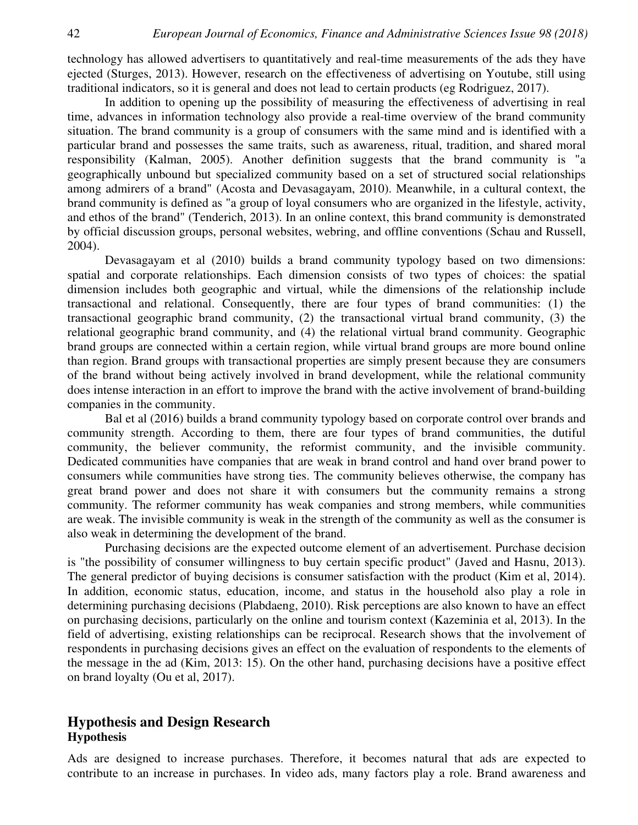technology has allowed advertisers to quantitatively and real-time measurements of the ads they have ejected (Sturges, 2013). However, research on the effectiveness of advertising on Youtube, still using traditional indicators, so it is general and does not lead to certain products (eg Rodriguez, 2017).

In addition to opening up the possibility of measuring the effectiveness of advertising in real time, advances in information technology also provide a real-time overview of the brand community situation. The brand community is a group of consumers with the same mind and is identified with a particular brand and possesses the same traits, such as awareness, ritual, tradition, and shared moral responsibility (Kalman, 2005). Another definition suggests that the brand community is "a geographically unbound but specialized community based on a set of structured social relationships among admirers of a brand" (Acosta and Devasagayam, 2010). Meanwhile, in a cultural context, the brand community is defined as "a group of loyal consumers who are organized in the lifestyle, activity, and ethos of the brand" (Tenderich, 2013). In an online context, this brand community is demonstrated by official discussion groups, personal websites, webring, and offline conventions (Schau and Russell, 2004).

Devasagayam et al (2010) builds a brand community typology based on two dimensions: spatial and corporate relationships. Each dimension consists of two types of choices: the spatial dimension includes both geographic and virtual, while the dimensions of the relationship include transactional and relational. Consequently, there are four types of brand communities: (1) the transactional geographic brand community, (2) the transactional virtual brand community, (3) the relational geographic brand community, and (4) the relational virtual brand community. Geographic brand groups are connected within a certain region, while virtual brand groups are more bound online than region. Brand groups with transactional properties are simply present because they are consumers of the brand without being actively involved in brand development, while the relational community does intense interaction in an effort to improve the brand with the active involvement of brand-building companies in the community.

Bal et al (2016) builds a brand community typology based on corporate control over brands and community strength. According to them, there are four types of brand communities, the dutiful community, the believer community, the reformist community, and the invisible community. Dedicated communities have companies that are weak in brand control and hand over brand power to consumers while communities have strong ties. The community believes otherwise, the company has great brand power and does not share it with consumers but the community remains a strong community. The reformer community has weak companies and strong members, while communities are weak. The invisible community is weak in the strength of the community as well as the consumer is also weak in determining the development of the brand.

Purchasing decisions are the expected outcome element of an advertisement. Purchase decision is "the possibility of consumer willingness to buy certain specific product" (Javed and Hasnu, 2013). The general predictor of buying decisions is consumer satisfaction with the product (Kim et al, 2014). In addition, economic status, education, income, and status in the household also play a role in determining purchasing decisions (Plabdaeng, 2010). Risk perceptions are also known to have an effect on purchasing decisions, particularly on the online and tourism context (Kazeminia et al, 2013). In the field of advertising, existing relationships can be reciprocal. Research shows that the involvement of respondents in purchasing decisions gives an effect on the evaluation of respondents to the elements of the message in the ad (Kim, 2013: 15). On the other hand, purchasing decisions have a positive effect on brand loyalty (Ou et al, 2017).

# **Hypothesis and Design Research Hypothesis**

Ads are designed to increase purchases. Therefore, it becomes natural that ads are expected to contribute to an increase in purchases. In video ads, many factors play a role. Brand awareness and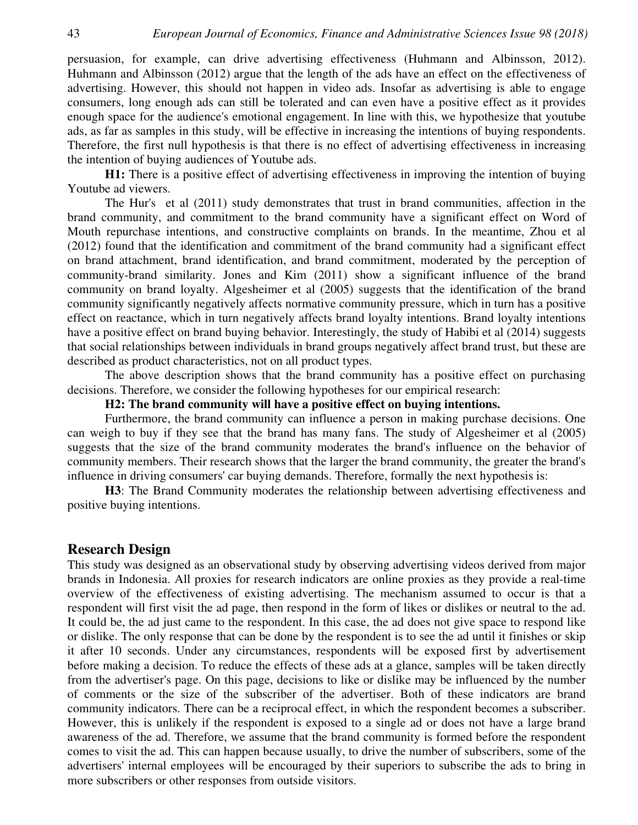persuasion, for example, can drive advertising effectiveness (Huhmann and Albinsson, 2012). Huhmann and Albinsson (2012) argue that the length of the ads have an effect on the effectiveness of advertising. However, this should not happen in video ads. Insofar as advertising is able to engage consumers, long enough ads can still be tolerated and can even have a positive effect as it provides enough space for the audience's emotional engagement. In line with this, we hypothesize that youtube ads, as far as samples in this study, will be effective in increasing the intentions of buying respondents. Therefore, the first null hypothesis is that there is no effect of advertising effectiveness in increasing the intention of buying audiences of Youtube ads.

**H1:** There is a positive effect of advertising effectiveness in improving the intention of buying Youtube ad viewers.

The Hur's et al (2011) study demonstrates that trust in brand communities, affection in the brand community, and commitment to the brand community have a significant effect on Word of Mouth repurchase intentions, and constructive complaints on brands. In the meantime, Zhou et al (2012) found that the identification and commitment of the brand community had a significant effect on brand attachment, brand identification, and brand commitment, moderated by the perception of community-brand similarity. Jones and Kim (2011) show a significant influence of the brand community on brand loyalty. Algesheimer et al (2005) suggests that the identification of the brand community significantly negatively affects normative community pressure, which in turn has a positive effect on reactance, which in turn negatively affects brand loyalty intentions. Brand loyalty intentions have a positive effect on brand buying behavior. Interestingly, the study of Habibi et al (2014) suggests that social relationships between individuals in brand groups negatively affect brand trust, but these are described as product characteristics, not on all product types.

The above description shows that the brand community has a positive effect on purchasing decisions. Therefore, we consider the following hypotheses for our empirical research:

## **H2: The brand community will have a positive effect on buying intentions.**

Furthermore, the brand community can influence a person in making purchase decisions. One can weigh to buy if they see that the brand has many fans. The study of Algesheimer et al (2005) suggests that the size of the brand community moderates the brand's influence on the behavior of community members. Their research shows that the larger the brand community, the greater the brand's influence in driving consumers' car buying demands. Therefore, formally the next hypothesis is:

**H3**: The Brand Community moderates the relationship between advertising effectiveness and positive buying intentions.

#### **Research Design**

This study was designed as an observational study by observing advertising videos derived from major brands in Indonesia. All proxies for research indicators are online proxies as they provide a real-time overview of the effectiveness of existing advertising. The mechanism assumed to occur is that a respondent will first visit the ad page, then respond in the form of likes or dislikes or neutral to the ad. It could be, the ad just came to the respondent. In this case, the ad does not give space to respond like or dislike. The only response that can be done by the respondent is to see the ad until it finishes or skip it after 10 seconds. Under any circumstances, respondents will be exposed first by advertisement before making a decision. To reduce the effects of these ads at a glance, samples will be taken directly from the advertiser's page. On this page, decisions to like or dislike may be influenced by the number of comments or the size of the subscriber of the advertiser. Both of these indicators are brand community indicators. There can be a reciprocal effect, in which the respondent becomes a subscriber. However, this is unlikely if the respondent is exposed to a single ad or does not have a large brand awareness of the ad. Therefore, we assume that the brand community is formed before the respondent comes to visit the ad. This can happen because usually, to drive the number of subscribers, some of the advertisers' internal employees will be encouraged by their superiors to subscribe the ads to bring in more subscribers or other responses from outside visitors.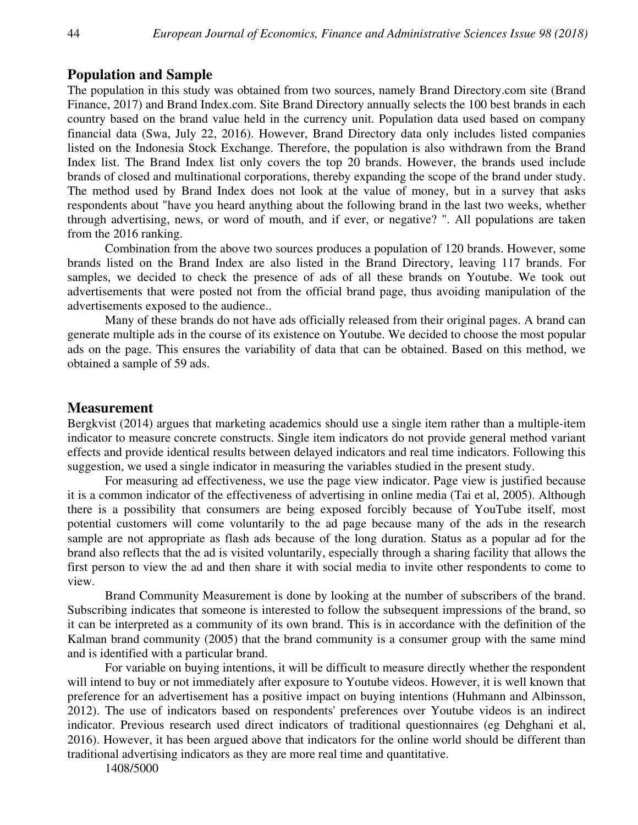# **Population and Sample**

The population in this study was obtained from two sources, namely Brand Directory.com site (Brand Finance, 2017) and Brand Index.com. Site Brand Directory annually selects the 100 best brands in each country based on the brand value held in the currency unit. Population data used based on company financial data (Swa, July 22, 2016). However, Brand Directory data only includes listed companies listed on the Indonesia Stock Exchange. Therefore, the population is also withdrawn from the Brand Index list. The Brand Index list only covers the top 20 brands. However, the brands used include brands of closed and multinational corporations, thereby expanding the scope of the brand under study. The method used by Brand Index does not look at the value of money, but in a survey that asks respondents about "have you heard anything about the following brand in the last two weeks, whether through advertising, news, or word of mouth, and if ever, or negative? ". All populations are taken from the 2016 ranking.

Combination from the above two sources produces a population of 120 brands. However, some brands listed on the Brand Index are also listed in the Brand Directory, leaving 117 brands. For samples, we decided to check the presence of ads of all these brands on Youtube. We took out advertisements that were posted not from the official brand page, thus avoiding manipulation of the advertisements exposed to the audience..

Many of these brands do not have ads officially released from their original pages. A brand can generate multiple ads in the course of its existence on Youtube. We decided to choose the most popular ads on the page. This ensures the variability of data that can be obtained. Based on this method, we obtained a sample of 59 ads.

## **Measurement**

Bergkvist (2014) argues that marketing academics should use a single item rather than a multiple-item indicator to measure concrete constructs. Single item indicators do not provide general method variant effects and provide identical results between delayed indicators and real time indicators. Following this suggestion, we used a single indicator in measuring the variables studied in the present study.

For measuring ad effectiveness, we use the page view indicator. Page view is justified because it is a common indicator of the effectiveness of advertising in online media (Tai et al, 2005). Although there is a possibility that consumers are being exposed forcibly because of YouTube itself, most potential customers will come voluntarily to the ad page because many of the ads in the research sample are not appropriate as flash ads because of the long duration. Status as a popular ad for the brand also reflects that the ad is visited voluntarily, especially through a sharing facility that allows the first person to view the ad and then share it with social media to invite other respondents to come to view.

Brand Community Measurement is done by looking at the number of subscribers of the brand. Subscribing indicates that someone is interested to follow the subsequent impressions of the brand, so it can be interpreted as a community of its own brand. This is in accordance with the definition of the Kalman brand community (2005) that the brand community is a consumer group with the same mind and is identified with a particular brand.

For variable on buying intentions, it will be difficult to measure directly whether the respondent will intend to buy or not immediately after exposure to Youtube videos. However, it is well known that preference for an advertisement has a positive impact on buying intentions (Huhmann and Albinsson, 2012). The use of indicators based on respondents' preferences over Youtube videos is an indirect indicator. Previous research used direct indicators of traditional questionnaires (eg Dehghani et al, 2016). However, it has been argued above that indicators for the online world should be different than traditional advertising indicators as they are more real time and quantitative.

1408/5000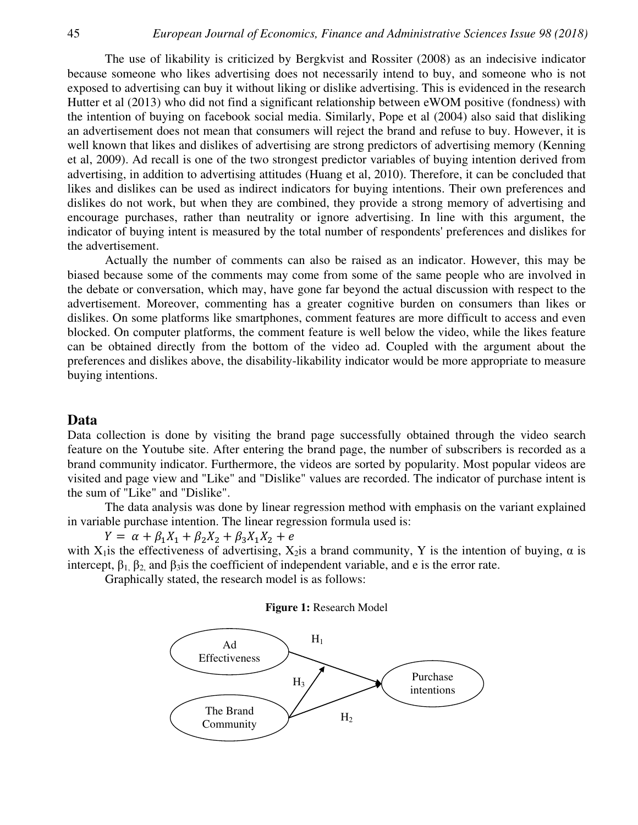The use of likability is criticized by Bergkvist and Rossiter (2008) as an indecisive indicator because someone who likes advertising does not necessarily intend to buy, and someone who is not exposed to advertising can buy it without liking or dislike advertising. This is evidenced in the research Hutter et al (2013) who did not find a significant relationship between eWOM positive (fondness) with the intention of buying on facebook social media. Similarly, Pope et al (2004) also said that disliking an advertisement does not mean that consumers will reject the brand and refuse to buy. However, it is well known that likes and dislikes of advertising are strong predictors of advertising memory (Kenning et al, 2009). Ad recall is one of the two strongest predictor variables of buying intention derived from advertising, in addition to advertising attitudes (Huang et al, 2010). Therefore, it can be concluded that likes and dislikes can be used as indirect indicators for buying intentions. Their own preferences and dislikes do not work, but when they are combined, they provide a strong memory of advertising and encourage purchases, rather than neutrality or ignore advertising. In line with this argument, the indicator of buying intent is measured by the total number of respondents' preferences and dislikes for the advertisement.

Actually the number of comments can also be raised as an indicator. However, this may be biased because some of the comments may come from some of the same people who are involved in the debate or conversation, which may, have gone far beyond the actual discussion with respect to the advertisement. Moreover, commenting has a greater cognitive burden on consumers than likes or dislikes. On some platforms like smartphones, comment features are more difficult to access and even blocked. On computer platforms, the comment feature is well below the video, while the likes feature can be obtained directly from the bottom of the video ad. Coupled with the argument about the preferences and dislikes above, the disability-likability indicator would be more appropriate to measure buying intentions.

#### **Data**

Data collection is done by visiting the brand page successfully obtained through the video search feature on the Youtube site. After entering the brand page, the number of subscribers is recorded as a brand community indicator. Furthermore, the videos are sorted by popularity. Most popular videos are visited and page view and "Like" and "Dislike" values are recorded. The indicator of purchase intent is the sum of "Like" and "Dislike".

The data analysis was done by linear regression method with emphasis on the variant explained in variable purchase intention. The linear regression formula used is:

 $Y = \alpha + \beta_1 X_1 + \beta_2 X_2 + \beta_3 X_1 X_2 + e$ with X<sub>1</sub> is the effectiveness of advertising, X<sub>2</sub> is a brand community, Y is the intention of buying,  $\alpha$  is intercept,  $\beta_1$ ,  $\beta_2$ , and  $\beta_3$  is the coefficient of independent variable, and e is the error rate.

Graphically stated, the research model is as follows:

#### **Figure 1:** Research Model

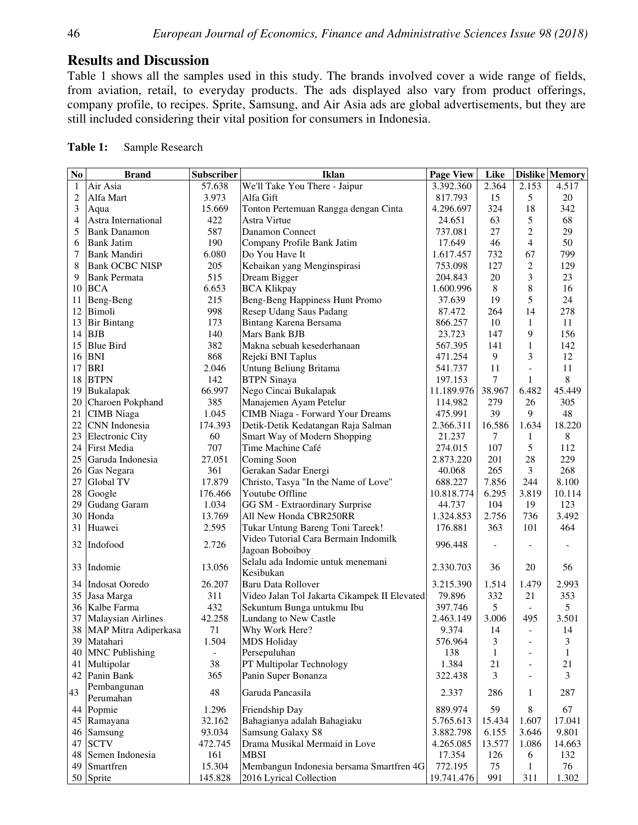## **Results and Discussion**

Table 1 shows all the samples used in this study. The brands involved cover a wide range of fields, from aviation, retail, to everyday products. The ads displayed also vary from product offerings, company profile, to recipes. Sprite, Samsung, and Air Asia ads are global advertisements, but they are still included considering their vital position for consumers in Indonesia.

| $\overline{No}$ | <b>Brand</b>              | Subscriber     | <b>Iklan</b>                                 | <b>Page View</b>    | Like         |                          | <b>Dislike Memory</b> |
|-----------------|---------------------------|----------------|----------------------------------------------|---------------------|--------------|--------------------------|-----------------------|
| $\mathbf{1}$    | Air Asia                  | 57.638         | We'll Take You There - Jaipur                | 3.392.360           | 2.364        | 2.153                    | 4.517                 |
| $\overline{c}$  | Alfa Mart                 | 3.973          | Alfa Gift                                    | 817.793             | 15           | 5                        | 20                    |
|                 |                           |                |                                              |                     |              |                          |                       |
| 3               | Aqua                      | 15.669         | Tonton Pertemuan Rangga dengan Cinta         | 4.296.697<br>24.651 | 324          | 18                       | 342                   |
| 4               | Astra International       | 422            | Astra Virtue                                 |                     | 63           | 5                        | 68                    |
| 5               | <b>Bank Danamon</b>       | 587            | Danamon Connect                              | 737.081             | 27           | $\overline{c}$           | 29                    |
| 6               | <b>Bank Jatim</b>         | 190            | Company Profile Bank Jatim                   | 17.649              | 46           | 4                        | 50                    |
| 7               | <b>Bank Mandiri</b>       | 6.080          | Do You Have It                               | 1.617.457           | 732          | 67                       | 799                   |
| 8               | <b>Bank OCBC NISP</b>     | 205            | Kebaikan yang Menginspirasi                  | 753.098             | 127          | $\overline{c}$           | 129                   |
| 9               | <b>Bank Permata</b>       | 515            | Dream Bigger                                 | 204.843             | 20           | 3                        | 23                    |
| 10              | <b>BCA</b>                | 6.653          | <b>BCA Klikpay</b>                           | 1.600.996           | 8            | 8                        | 16                    |
| 11              | Beng-Beng                 | 215            | Beng-Beng Happiness Hunt Promo               | 37.639              | 19           | 5                        | 24                    |
| 12              | Bimoli                    | 998            | Resep Udang Saus Padang                      | 87.472              | 264          | 14                       | 278                   |
| 13              | <b>Bir Bintang</b>        | 173            | Bintang Karena Bersama                       | 866.257             | 10           | 1                        | 11                    |
| 14              | <b>BJB</b>                | 140            | Mars Bank BJB                                | 23.723              | 147          | 9                        | 156                   |
| 15              | <b>Blue Bird</b>          | 382            | Makna sebuah kesederhanaan                   | 567.395             | 141          | $\mathbf{1}$             | 142                   |
| 16              | <b>BNI</b>                | 868            | Rejeki BNI Taplus                            | 471.254             | 9            | 3                        | 12                    |
| 17              | <b>BRI</b>                | 2.046          | Untung Beliung Britama                       | 541.737             | 11           |                          | 11                    |
| 18              | <b>BTPN</b>               | 142            | <b>BTPN</b> Sinaya                           | 197.153             | 7            | 1                        | 8                     |
| 19              | Bukalapak                 | 66.997         | Nego Cincai Bukalapak                        | 11.189.976          | 38.967       | 6.482                    | 45.449                |
| 20              | Charoen Pokphand          | 385            | Manajemen Ayam Petelur                       | 114.982             | 279          | 26                       | 305                   |
| 21              | <b>CIMB</b> Niaga         | 1.045          | <b>CIMB Niaga - Forward Your Dreams</b>      | 475.991             | 39           | 9                        | 48                    |
| 22              | CNN Indonesia             | 174.393        | Detik-Detik Kedatangan Raja Salman           | 2.366.311           | 16.586       | 1.634                    | 18.220                |
| 23              | <b>Electronic City</b>    | 60             | Smart Way of Modern Shopping                 | 21.237              | 7            | 1                        | 8                     |
| 24              | <b>First Media</b>        | 707            | Time Machine Café                            | 274.015             | 107          | 5                        | 112                   |
| 25              | Garuda Indonesia          | 27.051         | Coming Soon                                  | 2.873.220           | 201          | 28                       | 229                   |
| 26              | Gas Negara                | 361            | Gerakan Sadar Energi                         | 40.068              | 265          | $\overline{3}$           | 268                   |
| 27              | Global TV                 | 17.879         | Christo, Tasya "In the Name of Love"         | 688.227             | 7.856        | 244                      | 8.100                 |
| 28              | Google                    | 176.466        | Youtube Offline                              | 10.818.774          | 6.295        | 3.819                    | 10.114                |
| 29              | <b>Gudang Garam</b>       | 1.034          | GG SM - Extraordinary Surprise               | 44.737              | 104          | 19                       | 123                   |
| 30              | Honda                     | 13.769         | All New Honda CBR250RR                       | 1.324.853           | 2.756        | 736                      | 3.492                 |
| 31              | Huawei                    | 2.595          | Tukar Untung Bareng Toni Tareek!             | 176.881             | 363          | 101                      | 464                   |
|                 |                           |                | Video Tutorial Cara Bermain Indomilk         |                     |              |                          |                       |
|                 | 32 Indofood               | 2.726          | Jagoan Boboiboy                              | 996.448             |              |                          |                       |
|                 |                           |                | Selalu ada Indomie untuk menemani            |                     |              |                          |                       |
|                 | 33 Indomie                | 13.056         | Kesibukan                                    | 2.330.703           | 36           | 20                       | 56                    |
|                 | 34 Indosat Ooredo         | 26.207         | Baru Data Rollover                           | 3.215.390           | 1.514        | 1.479                    | 2.993                 |
|                 | 35 Jasa Marga             | 311            | Video Jalan Tol Jakarta Cikampek II Elevated | 79.896              | 332          | 21                       | 353                   |
|                 | 36 Kalbe Farma            | 432            | Sekuntum Bunga untukmu Ibu                   | 397.746             | 5            |                          | 5                     |
| 37              | <b>Malaysian Airlines</b> | 42.258         | Lundang to New Castle                        | 2.463.149           | 3.006        | 495                      | 3.501                 |
|                 | 38 MAP Mitra Adiperkasa   | 71             | Why Work Here?                               | 9.374               | 14           |                          | 14                    |
| 39              | Matahari                  | 1.504          | <b>MDS Holiday</b>                           | 576.964             | 3            |                          | 3                     |
|                 | 40 MNC Publishing         |                |                                              | 138                 |              |                          |                       |
|                 |                           | $\blacksquare$ | Persepuluhan                                 |                     | $\mathbf{1}$ | $\overline{\phantom{a}}$ | 1                     |
| 41              | Multipolar                | 38             | PT Multipolar Technology                     | 1.384               | 21           | $\overline{\phantom{a}}$ | 21                    |
|                 | 42 Panin Bank             | 365            | Panin Super Bonanza                          | 322.438             | 3            | $\overline{\phantom{a}}$ | 3                     |
| 43              | Pembangunan               | $48\,$         | Garuda Pancasila                             | 2.337               | 286          | 1                        | 287                   |
|                 | Perumahan                 |                |                                              |                     |              |                          |                       |
|                 | 44 Popmie                 | 1.296          | Friendship Day                               | 889.974             | 59           | 8                        | 67                    |
|                 | 45 Ramayana               | 32.162         | Bahagianya adalah Bahagiaku                  | 5.765.613           | 15.434       | 1.607                    | 17.041                |
|                 | 46 Samsung                | 93.034         | Samsung Galaxy S8                            | 3.882.798           | 6.155        | 3.646                    | 9.801                 |
|                 | 47 SCTV                   | 472.745        | Drama Musikal Mermaid in Love                | 4.265.085           | 13.577       | 1.086                    | 14.663                |
|                 | 48 Semen Indonesia        | 161            | <b>MBSI</b>                                  | 17.354              | 126          | 6                        | 132                   |

49 Smartfren 15.304 Membangun Indonesia bersama Smartfren 4G 772.195 75 1 76 50 Sprite 145.828 2016 Lyrical Collection 19.741.476 991 311 1.302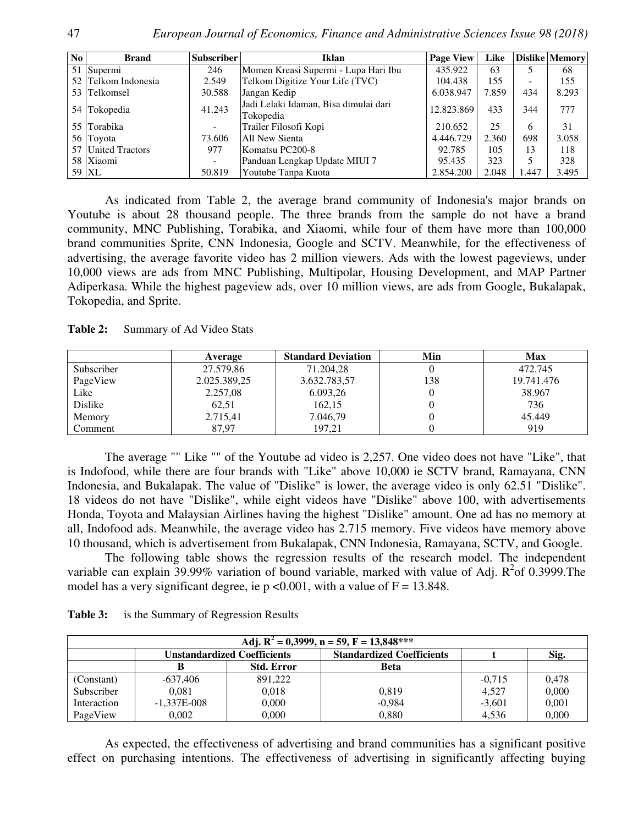| No l | <b>Brand</b>        | Subscriber | Iklan                                              | <b>Page View</b> | Like  |                          | <b>Dislike Memory</b> |
|------|---------------------|------------|----------------------------------------------------|------------------|-------|--------------------------|-----------------------|
|      | 51 Supermi          | 246        | Momen Kreasi Supermi - Lupa Hari Ibu               | 435.922          | 63    |                          | 68                    |
|      | 52 Telkom Indonesia | 2.549      | Telkom Digitize Your Life (TVC)                    | 104.438          | 155   | $\overline{\phantom{a}}$ | 155                   |
|      | 53 Telkomsel        | 30.588     | Jangan Kedip                                       | 6.038.947        | 7.859 | 434                      | 8.293                 |
|      | 54 Tokopedia        | 41.243     | Jadi Lelaki Idaman, Bisa dimulai dari<br>Tokopedia | 12.823.869       | 433   | 344                      | 777                   |
|      | 55 Torabika         |            | Trailer Filosofi Kopi                              | 210.652          | 25    | 6                        | 31                    |
|      | 56 Toyota           | 73.606     | All New Sienta                                     | 4.446.729        | 2.360 | 698                      | 3.058                 |
|      | 57 United Tractors  | 977        | Komatsu PC200-8                                    | 92.785           | 105   | 13                       | 118                   |
|      | 58 Xiaomi           | -          | Panduan Lengkap Update MIUI 7                      | 95.435           | 323   |                          | 328                   |
|      | 59 XL               | 50.819     | Youtube Tanpa Kuota                                | 2.854.200        | 2.048 | 1.447                    | 3.495                 |

As indicated from Table 2, the average brand community of Indonesia's major brands on Youtube is about 28 thousand people. The three brands from the sample do not have a brand community, MNC Publishing, Torabika, and Xiaomi, while four of them have more than 100,000 brand communities Sprite, CNN Indonesia, Google and SCTV. Meanwhile, for the effectiveness of advertising, the average favorite video has 2 million viewers. Ads with the lowest pageviews, under 10,000 views are ads from MNC Publishing, Multipolar, Housing Development, and MAP Partner Adiperkasa. While the highest pageview ads, over 10 million views, are ads from Google, Bukalapak, Tokopedia, and Sprite.

Table 2: Summary of Ad Video Stats

|            | Average      | <b>Standard Deviation</b> | Min | <b>Max</b> |
|------------|--------------|---------------------------|-----|------------|
| Subscriber | 27.579,86    | 71.204.28                 |     | 472.745    |
| PageView   | 2.025.389,25 | 3.632.783,57              | 138 | 19.741.476 |
| Like       | 2.257,08     | 6.093,26                  |     | 38.967     |
| Dislike    | 62,51        | 162,15                    |     | 736        |
| Memory     | 2.715,41     | 7.046,79                  |     | 45.449     |
| Comment    | 87.97        | 197.21                    |     | 919        |

The average "" Like "" of the Youtube ad video is 2,257. One video does not have "Like", that is Indofood, while there are four brands with "Like" above 10,000 ie SCTV brand, Ramayana, CNN Indonesia, and Bukalapak. The value of "Dislike" is lower, the average video is only 62.51 "Dislike". 18 videos do not have "Dislike", while eight videos have "Dislike" above 100, with advertisements Honda, Toyota and Malaysian Airlines having the highest "Dislike" amount. One ad has no memory at all, Indofood ads. Meanwhile, the average video has 2.715 memory. Five videos have memory above 10 thousand, which is advertisement from Bukalapak, CNN Indonesia, Ramayana, SCTV, and Google.

The following table shows the regression results of the research model. The independent variable can explain 39.99% variation of bound variable, marked with value of Adj.  $R^2$ of 0.3999. The model has a very significant degree, ie  $p \le 0.001$ , with a value of  $F = 13.848$ .

| Table 3: | is the Summary of Regression Results |  |
|----------|--------------------------------------|--|
|          |                                      |  |

| Adj. $R^2 = 0,3999$ , n = 59, F = 13,848*** |                 |                                    |                                  |          |       |  |  |  |
|---------------------------------------------|-----------------|------------------------------------|----------------------------------|----------|-------|--|--|--|
|                                             |                 | <b>Unstandardized Coefficients</b> | <b>Standardized Coefficients</b> |          | Sig.  |  |  |  |
|                                             |                 | <b>Std. Error</b>                  | <b>Beta</b>                      |          |       |  |  |  |
| (Constant)                                  | -637.406        | 891,222                            |                                  | $-0.715$ | 0.478 |  |  |  |
| Subscriber                                  | 0.081           | 0,018                              | 0.819                            | 4.527    | 0.000 |  |  |  |
| Interaction                                 | $-1.337E - 008$ | 0.000                              | $-0,984$                         | $-3.601$ | 0.001 |  |  |  |
| PageView                                    | 0.002           | 0.000                              | 0.880                            | 4.536    | 0.000 |  |  |  |

As expected, the effectiveness of advertising and brand communities has a significant positive effect on purchasing intentions. The effectiveness of advertising in significantly affecting buying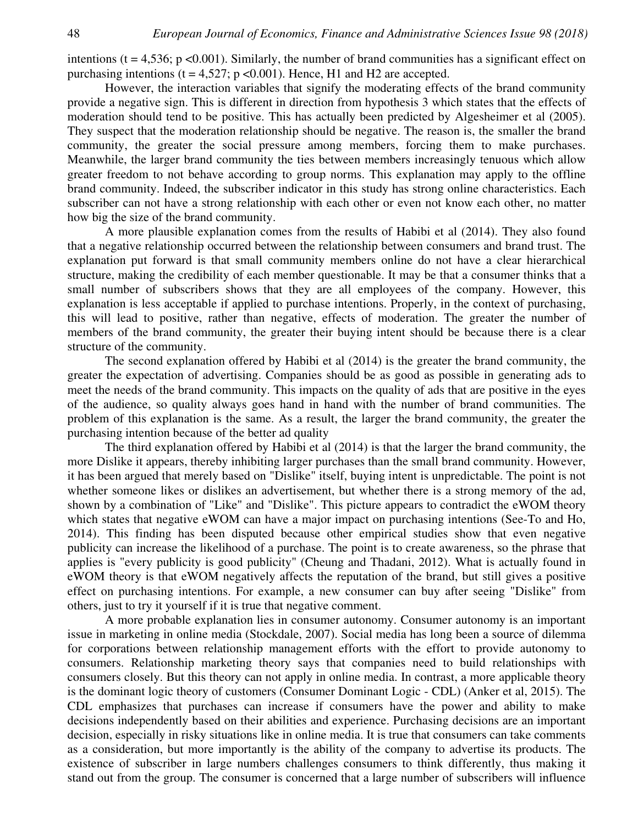intentions ( $t = 4,536$ ;  $p < 0.001$ ). Similarly, the number of brand communities has a significant effect on purchasing intentions ( $t = 4.527$ ;  $p < 0.001$ ). Hence, H1 and H2 are accepted.

However, the interaction variables that signify the moderating effects of the brand community provide a negative sign. This is different in direction from hypothesis 3 which states that the effects of moderation should tend to be positive. This has actually been predicted by Algesheimer et al (2005). They suspect that the moderation relationship should be negative. The reason is, the smaller the brand community, the greater the social pressure among members, forcing them to make purchases. Meanwhile, the larger brand community the ties between members increasingly tenuous which allow greater freedom to not behave according to group norms. This explanation may apply to the offline brand community. Indeed, the subscriber indicator in this study has strong online characteristics. Each subscriber can not have a strong relationship with each other or even not know each other, no matter how big the size of the brand community.

A more plausible explanation comes from the results of Habibi et al (2014). They also found that a negative relationship occurred between the relationship between consumers and brand trust. The explanation put forward is that small community members online do not have a clear hierarchical structure, making the credibility of each member questionable. It may be that a consumer thinks that a small number of subscribers shows that they are all employees of the company. However, this explanation is less acceptable if applied to purchase intentions. Properly, in the context of purchasing, this will lead to positive, rather than negative, effects of moderation. The greater the number of members of the brand community, the greater their buying intent should be because there is a clear structure of the community.

The second explanation offered by Habibi et al (2014) is the greater the brand community, the greater the expectation of advertising. Companies should be as good as possible in generating ads to meet the needs of the brand community. This impacts on the quality of ads that are positive in the eyes of the audience, so quality always goes hand in hand with the number of brand communities. The problem of this explanation is the same. As a result, the larger the brand community, the greater the purchasing intention because of the better ad quality

The third explanation offered by Habibi et al (2014) is that the larger the brand community, the more Dislike it appears, thereby inhibiting larger purchases than the small brand community. However, it has been argued that merely based on "Dislike" itself, buying intent is unpredictable. The point is not whether someone likes or dislikes an advertisement, but whether there is a strong memory of the ad, shown by a combination of "Like" and "Dislike". This picture appears to contradict the eWOM theory which states that negative eWOM can have a major impact on purchasing intentions (See-To and Ho, 2014). This finding has been disputed because other empirical studies show that even negative publicity can increase the likelihood of a purchase. The point is to create awareness, so the phrase that applies is "every publicity is good publicity" (Cheung and Thadani, 2012). What is actually found in eWOM theory is that eWOM negatively affects the reputation of the brand, but still gives a positive effect on purchasing intentions. For example, a new consumer can buy after seeing "Dislike" from others, just to try it yourself if it is true that negative comment.

A more probable explanation lies in consumer autonomy. Consumer autonomy is an important issue in marketing in online media (Stockdale, 2007). Social media has long been a source of dilemma for corporations between relationship management efforts with the effort to provide autonomy to consumers. Relationship marketing theory says that companies need to build relationships with consumers closely. But this theory can not apply in online media. In contrast, a more applicable theory is the dominant logic theory of customers (Consumer Dominant Logic - CDL) (Anker et al, 2015). The CDL emphasizes that purchases can increase if consumers have the power and ability to make decisions independently based on their abilities and experience. Purchasing decisions are an important decision, especially in risky situations like in online media. It is true that consumers can take comments as a consideration, but more importantly is the ability of the company to advertise its products. The existence of subscriber in large numbers challenges consumers to think differently, thus making it stand out from the group. The consumer is concerned that a large number of subscribers will influence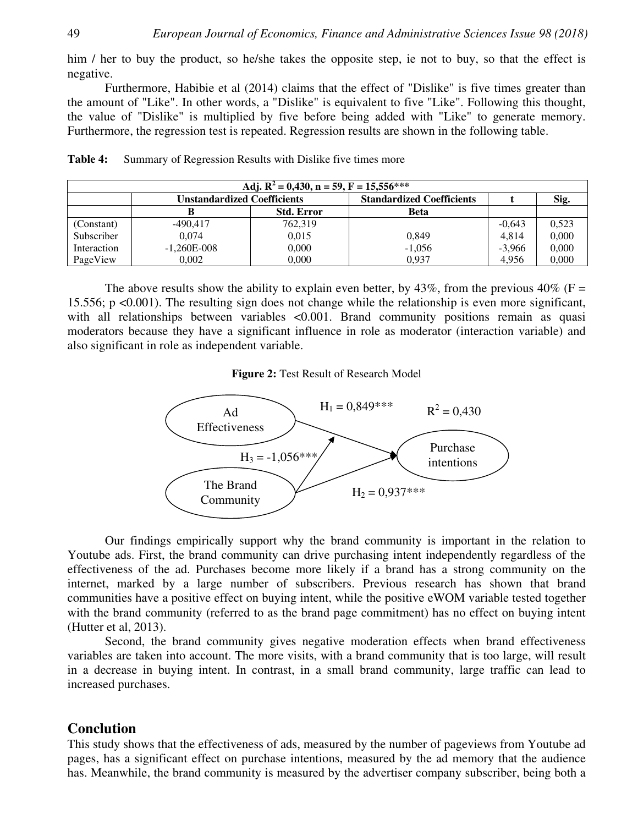him / her to buy the product, so he/she takes the opposite step, ie not to buy, so that the effect is negative.

Furthermore, Habibie et al (2014) claims that the effect of "Dislike" is five times greater than the amount of "Like". In other words, a "Dislike" is equivalent to five "Like". Following this thought, the value of "Dislike" is multiplied by five before being added with "Like" to generate memory. Furthermore, the regression test is repeated. Regression results are shown in the following table.

| Adj. $R^2 = 0,430$ , n = 59, F = 15,556*** |                                    |                   |                                  |          |       |  |  |  |
|--------------------------------------------|------------------------------------|-------------------|----------------------------------|----------|-------|--|--|--|
|                                            | <b>Unstandardized Coefficients</b> |                   | <b>Standardized Coefficients</b> |          | Sig.  |  |  |  |
|                                            |                                    | <b>Std. Error</b> | <b>Beta</b>                      |          |       |  |  |  |
| (Constant)                                 | $-490.417$                         | 762.319           |                                  | $-0.643$ | 0,523 |  |  |  |
| Subscriber                                 | 0.074                              | 0.015             | 0,849                            | 4.814    | 0,000 |  |  |  |
| Interaction                                | $-1,260E-008$                      | 0,000             | $-1,056$                         | $-3,966$ | 0,000 |  |  |  |
| PageView                                   | 0.002                              | 0.000             | 0.937                            | 4.956    | 0,000 |  |  |  |

Table 4: Summary of Regression Results with Dislike five times more

The above results show the ability to explain even better, by  $43\%$ , from the previous  $40\%$  (F = 15.556; p <0.001). The resulting sign does not change while the relationship is even more significant, with all relationships between variables <0.001. Brand community positions remain as quasi moderators because they have a significant influence in role as moderator (interaction variable) and also significant in role as independent variable.

#### **Figure 2:** Test Result of Research Model



Our findings empirically support why the brand community is important in the relation to Youtube ads. First, the brand community can drive purchasing intent independently regardless of the effectiveness of the ad. Purchases become more likely if a brand has a strong community on the internet, marked by a large number of subscribers. Previous research has shown that brand communities have a positive effect on buying intent, while the positive eWOM variable tested together with the brand community (referred to as the brand page commitment) has no effect on buying intent (Hutter et al, 2013).

Second, the brand community gives negative moderation effects when brand effectiveness variables are taken into account. The more visits, with a brand community that is too large, will result in a decrease in buying intent. In contrast, in a small brand community, large traffic can lead to increased purchases.

# **Conclution**

This study shows that the effectiveness of ads, measured by the number of pageviews from Youtube ad pages, has a significant effect on purchase intentions, measured by the ad memory that the audience has. Meanwhile, the brand community is measured by the advertiser company subscriber, being both a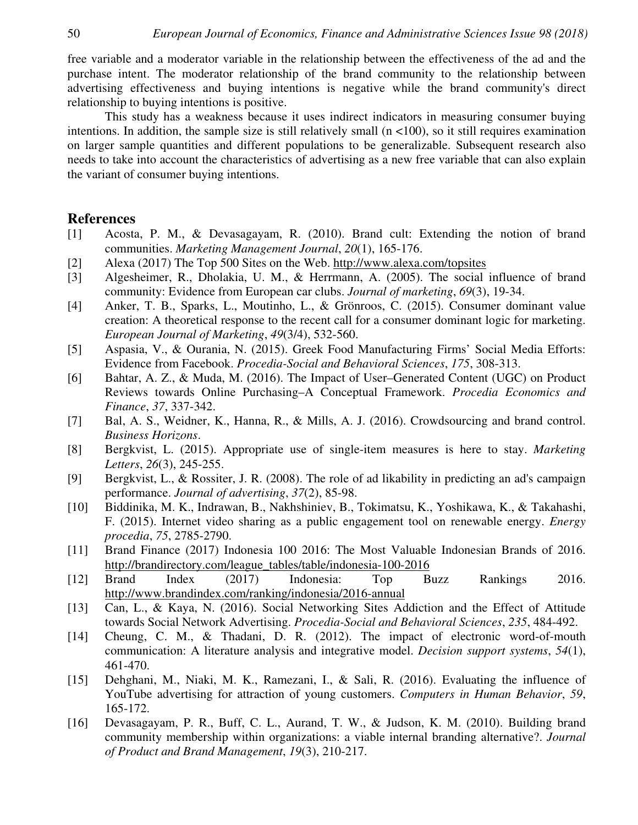free variable and a moderator variable in the relationship between the effectiveness of the ad and the purchase intent. The moderator relationship of the brand community to the relationship between advertising effectiveness and buying intentions is negative while the brand community's direct relationship to buying intentions is positive.

This study has a weakness because it uses indirect indicators in measuring consumer buying intentions. In addition, the sample size is still relatively small  $(n < 100)$ , so it still requires examination on larger sample quantities and different populations to be generalizable. Subsequent research also needs to take into account the characteristics of advertising as a new free variable that can also explain the variant of consumer buying intentions.

## **References**

- [1] Acosta, P. M., & Devasagayam, R. (2010). Brand cult: Extending the notion of brand communities. *Marketing Management Journal*, *20*(1), 165-176.
- [2] Alexa (2017) The Top 500 Sites on the Web. http://www.alexa.com/topsites
- [3] Algesheimer, R., Dholakia, U. M., & Herrmann, A. (2005). The social influence of brand community: Evidence from European car clubs. *Journal of marketing*, *69*(3), 19-34.
- [4] Anker, T. B., Sparks, L., Moutinho, L., & Grönroos, C. (2015). Consumer dominant value creation: A theoretical response to the recent call for a consumer dominant logic for marketing. *European Journal of Marketing*, *49*(3/4), 532-560.
- [5] Aspasia, V., & Ourania, N. (2015). Greek Food Manufacturing Firms' Social Media Efforts: Evidence from Facebook. *Procedia-Social and Behavioral Sciences*, *175*, 308-313.
- [6] Bahtar, A. Z., & Muda, M. (2016). The Impact of User–Generated Content (UGC) on Product Reviews towards Online Purchasing–A Conceptual Framework. *Procedia Economics and Finance*, *37*, 337-342.
- [7] Bal, A. S., Weidner, K., Hanna, R., & Mills, A. J. (2016). Crowdsourcing and brand control. *Business Horizons*.
- [8] Bergkvist, L. (2015). Appropriate use of single-item measures is here to stay. *Marketing Letters*, *26*(3), 245-255.
- [9] Bergkvist, L., & Rossiter, J. R. (2008). The role of ad likability in predicting an ad's campaign performance. *Journal of advertising*, *37*(2), 85-98.
- [10] Biddinika, M. K., Indrawan, B., Nakhshiniev, B., Tokimatsu, K., Yoshikawa, K., & Takahashi, F. (2015). Internet video sharing as a public engagement tool on renewable energy. *Energy procedia*, *75*, 2785-2790.
- [11] Brand Finance (2017) Indonesia 100 2016: The Most Valuable Indonesian Brands of 2016. http://brandirectory.com/league\_tables/table/indonesia-100-2016
- [12] Brand Index (2017) Indonesia: Top Buzz Rankings 2016. http://www.brandindex.com/ranking/indonesia/2016-annual
- [13] Can, L., & Kaya, N. (2016). Social Networking Sites Addiction and the Effect of Attitude towards Social Network Advertising. *Procedia-Social and Behavioral Sciences*, *235*, 484-492.
- [14] Cheung, C. M., & Thadani, D. R. (2012). The impact of electronic word-of-mouth communication: A literature analysis and integrative model. *Decision support systems*, *54*(1), 461-470.
- [15] Dehghani, M., Niaki, M. K., Ramezani, I., & Sali, R. (2016). Evaluating the influence of YouTube advertising for attraction of young customers. *Computers in Human Behavior*, *59*, 165-172.
- [16] Devasagayam, P. R., Buff, C. L., Aurand, T. W., & Judson, K. M. (2010). Building brand community membership within organizations: a viable internal branding alternative?. *Journal of Product and Brand Management*, *19*(3), 210-217.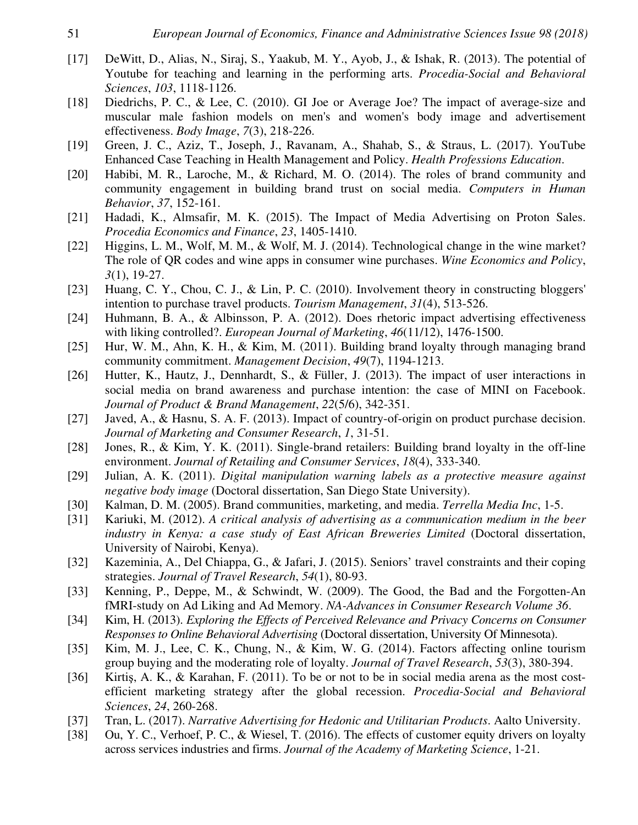- [17] DeWitt, D., Alias, N., Siraj, S., Yaakub, M. Y., Ayob, J., & Ishak, R. (2013). The potential of Youtube for teaching and learning in the performing arts. *Procedia-Social and Behavioral Sciences*, *103*, 1118-1126.
- [18] Diedrichs, P. C., & Lee, C. (2010). GI Joe or Average Joe? The impact of average-size and muscular male fashion models on men's and women's body image and advertisement effectiveness. *Body Image*, *7*(3), 218-226.
- [19] Green, J. C., Aziz, T., Joseph, J., Ravanam, A., Shahab, S., & Straus, L. (2017). YouTube Enhanced Case Teaching in Health Management and Policy. *Health Professions Education*.
- [20] Habibi, M. R., Laroche, M., & Richard, M. O. (2014). The roles of brand community and community engagement in building brand trust on social media. *Computers in Human Behavior*, *37*, 152-161.
- [21] Hadadi, K., Almsafir, M. K. (2015). The Impact of Media Advertising on Proton Sales. *Procedia Economics and Finance*, *23*, 1405-1410.
- [22] Higgins, L. M., Wolf, M. M., & Wolf, M. J. (2014). Technological change in the wine market? The role of QR codes and wine apps in consumer wine purchases. *Wine Economics and Policy*, *3*(1), 19-27.
- [23] Huang, C. Y., Chou, C. J., & Lin, P. C. (2010). Involvement theory in constructing bloggers' intention to purchase travel products. *Tourism Management*, *31*(4), 513-526.
- [24] Huhmann, B. A., & Albinsson, P. A. (2012). Does rhetoric impact advertising effectiveness with liking controlled?. *European Journal of Marketing*, *46*(11/12), 1476-1500.
- [25] Hur, W. M., Ahn, K. H., & Kim, M. (2011). Building brand loyalty through managing brand community commitment. *Management Decision*, *49*(7), 1194-1213.
- [26] Hutter, K., Hautz, J., Dennhardt, S., & Füller, J. (2013). The impact of user interactions in social media on brand awareness and purchase intention: the case of MINI on Facebook. *Journal of Product & Brand Management*, *22*(5/6), 342-351.
- [27] Javed, A., & Hasnu, S. A. F. (2013). Impact of country-of-origin on product purchase decision. *Journal of Marketing and Consumer Research*, *1*, 31-51.
- [28] Jones, R., & Kim, Y. K. (2011). Single-brand retailers: Building brand loyalty in the off-line environment. *Journal of Retailing and Consumer Services*, *18*(4), 333-340.
- [29] Julian, A. K. (2011). *Digital manipulation warning labels as a protective measure against negative body image* (Doctoral dissertation, San Diego State University).
- [30] Kalman, D. M. (2005). Brand communities, marketing, and media. *Terrella Media Inc*, 1-5.
- [31] Kariuki, M. (2012). *A critical analysis of advertising as a communication medium in the beer industry in Kenya: a case study of East African Breweries Limited* (Doctoral dissertation, University of Nairobi, Kenya).
- [32] Kazeminia, A., Del Chiappa, G., & Jafari, J. (2015). Seniors' travel constraints and their coping strategies. *Journal of Travel Research*, *54*(1), 80-93.
- [33] Kenning, P., Deppe, M., & Schwindt, W. (2009). The Good, the Bad and the Forgotten-An fMRI-study on Ad Liking and Ad Memory. *NA-Advances in Consumer Research Volume 36*.
- [34] Kim, H. (2013). *Exploring the Effects of Perceived Relevance and Privacy Concerns on Consumer Responses to Online Behavioral Advertising* (Doctoral dissertation, University Of Minnesota).
- [35] Kim, M. J., Lee, C. K., Chung, N., & Kim, W. G. (2014). Factors affecting online tourism group buying and the moderating role of loyalty. *Journal of Travel Research*, *53*(3), 380-394.
- [36] Kirtiş, A. K., & Karahan, F. (2011). To be or not to be in social media arena as the most costefficient marketing strategy after the global recession. *Procedia-Social and Behavioral Sciences*, *24*, 260-268.
- [37] Tran, L. (2017). *Narrative Advertising for Hedonic and Utilitarian Products*. Aalto University.
- [38] Ou, Y. C., Verhoef, P. C., & Wiesel, T. (2016). The effects of customer equity drivers on loyalty across services industries and firms. *Journal of the Academy of Marketing Science*, 1-21.